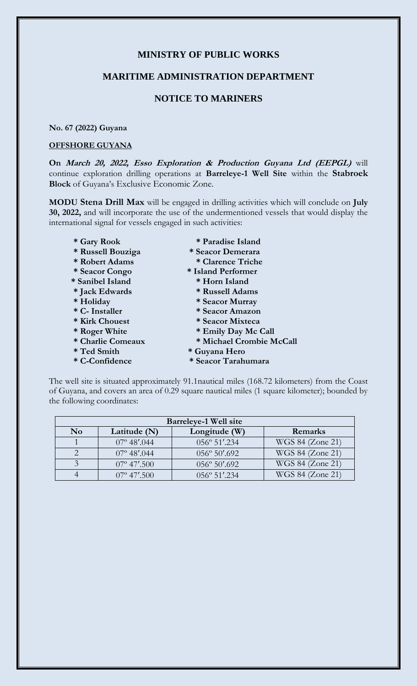# **MINISTRY OF PUBLIC WORKS**

### **MARITIME ADMINISTRATION DEPARTMENT**

# **NOTICE TO MARINERS**

#### **No. 67 (2022) Guyana**

#### **OFFSHORE GUYANA**

**On March 20, 2022, Esso Exploration & Production Guyana Ltd (EEPGL)** will continue exploration drilling operations at **Barreleye-1 Well Site** within the **Stabroek Block** of Guyana's Exclusive Economic Zone.

**MODU Stena Drill Max** will be engaged in drilling activities which will conclude on **July 30, 2022,** and will incorporate the use of the undermentioned vessels that would display the international signal for vessels engaged in such activities:

- 
- 
- 
- 
- 
- 
- 
- 
- 
- 
- 
- 
- 
- **\* Gary Rook \* Paradise Island \* Russell Bouziga \* Seacor Demerara**
- **\* Robert Adams \* Clarence Triche**
- **\* Seacor Congo \* Island Performer**
- **\* Sanibel Island \* Horn Island**
- **\* Jack Edwards \* Russell Adams**
- **\* Holiday \* Seacor Murray**
- **\* C- Installer \* Seacor Amazon**
- **\* Kirk Chouest \* Seacor Mixteca** 
	-
- \* Roger White \* Emily Day Mc Call<br>\* Charlie Comeaux \* Michael Crombie M  $*$  Michael Crombie McCall
- **\* Ted Smith \* Guyana Hero**
- **\* C-Confidence \* Seacor Tarahumara**

The well site is situated approximately 91.1nautical miles (168.72 kilometers) from the Coast of Guyana, and covers an area of 0.29 square nautical miles (1 square kilometer); bounded by the following coordinates:

| <b>Barreleve-1 Well site</b> |                      |                        |                  |
|------------------------------|----------------------|------------------------|------------------|
| $\mathbf{N}$ <sub>o</sub>    | Latitude $(N)$       | Longitude (W)          | Remarks          |
|                              | $07^{\circ}$ 48'.044 | 056° 51'.234           | WGS 84 (Zone 21) |
|                              | $07^{\circ}$ 48'.044 | $056^{\circ} 50'$ .692 | WGS 84 (Zone 21) |
|                              | $07^{\circ}$ 47'.500 | $056^{\circ} 50'$ .692 | WGS 84 (Zone 21) |
|                              | $07^{\circ}$ 47'.500 | $0.56^\circ 51'$ .234  | WGS 84 (Zone 21) |